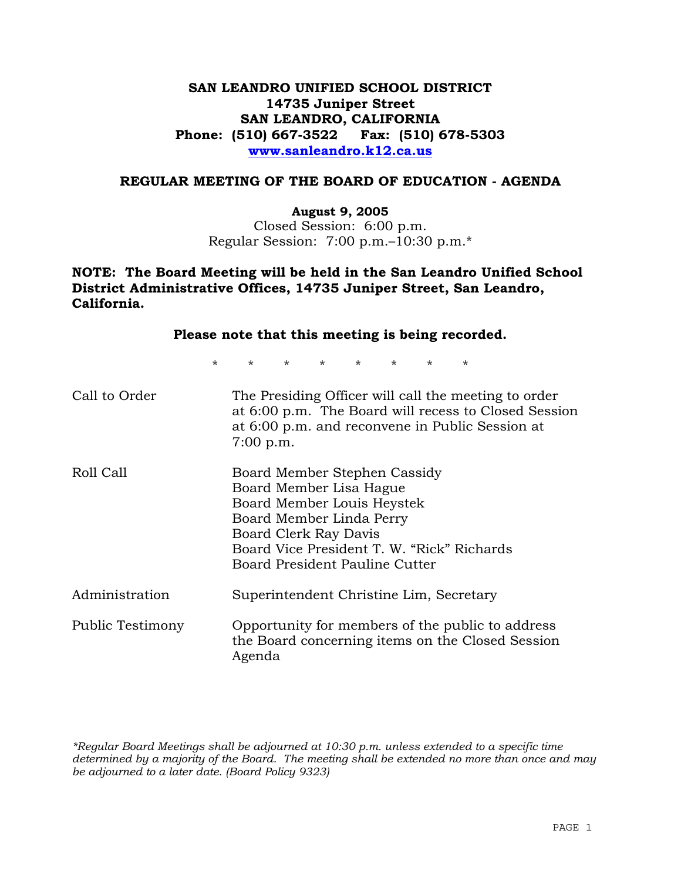# **SAN LEANDRO UNIFIED SCHOOL DISTRICT 14735 Juniper Street SAN LEANDRO, CALIFORNIA Phone: (510) 667-3522 Fax: (510) 678-5303 www.sanleandro.k12.ca.us**

## **REGULAR MEETING OF THE BOARD OF EDUCATION - AGENDA**

### **August 9, 2005**

Closed Session: 6:00 p.m. Regular Session: 7:00 p.m.–10:30 p.m.\*

## **NOTE: The Board Meeting will be held in the San Leandro Unified School District Administrative Offices, 14735 Juniper Street, San Leandro, California.**

| Please note that this meeting is being recorded. |                                                                                                                                                                                                                            |                                         |  |  |         |  |
|--------------------------------------------------|----------------------------------------------------------------------------------------------------------------------------------------------------------------------------------------------------------------------------|-----------------------------------------|--|--|---------|--|
| $\star$                                          |                                                                                                                                                                                                                            | $\star$ $\star$ $\star$ $\star$ $\star$ |  |  | $\star$ |  |
| Call to Order                                    | The Presiding Officer will call the meeting to order<br>at 6:00 p.m. The Board will recess to Closed Session<br>at 6:00 p.m. and reconvene in Public Session at<br>$7:00$ p.m.                                             |                                         |  |  |         |  |
| Roll Call                                        | Board Member Stephen Cassidy<br>Board Member Lisa Hague<br>Board Member Louis Heystek<br>Board Member Linda Perry<br>Board Clerk Ray Davis<br>Board Vice President T. W. "Rick" Richards<br>Board President Pauline Cutter |                                         |  |  |         |  |
| Administration                                   | Superintendent Christine Lim, Secretary                                                                                                                                                                                    |                                         |  |  |         |  |
| Public Testimony                                 | Opportunity for members of the public to address<br>the Board concerning items on the Closed Session<br>Agenda                                                                                                             |                                         |  |  |         |  |

*\*Regular Board Meetings shall be adjourned at 10:30 p.m. unless extended to a specific time determined by a majority of the Board. The meeting shall be extended no more than once and may be adjourned to a later date. (Board Policy 9323)*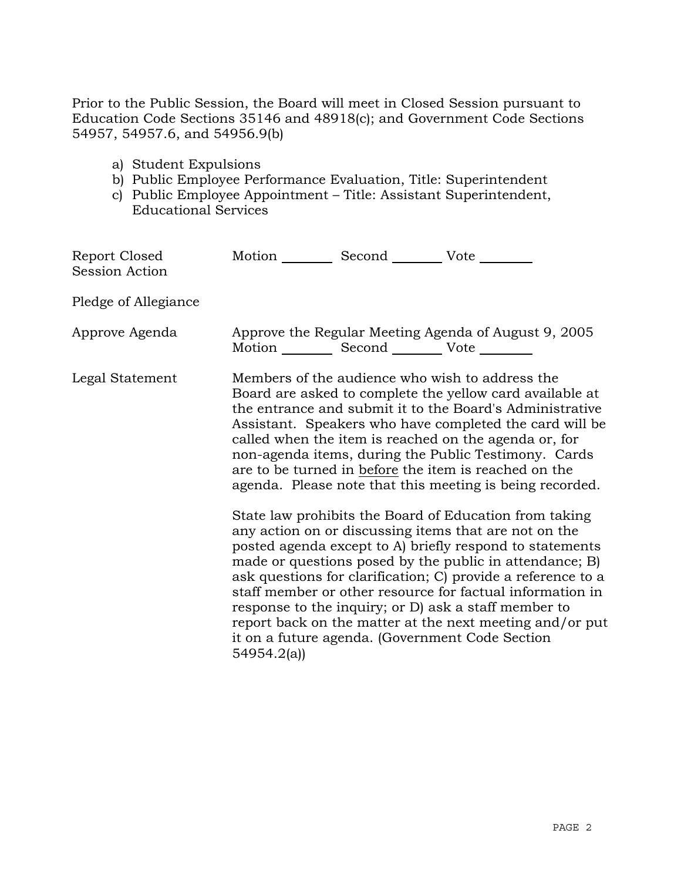Prior to the Public Session, the Board will meet in Closed Session pursuant to Education Code Sections 35146 and 48918(c); and Government Code Sections 54957, 54957.6, and 54956.9(b)

- a) Student Expulsions
- b) Public Employee Performance Evaluation, Title: Superintendent
- c) Public Employee Appointment Title: Assistant Superintendent, Educational Services

| Report Closed<br>Session Action | Motion Second Vote ________                                                                                                                                                                                                                                                                                                                                                                                                                                              |  |                                                                                                                                                                                                                                                                                                                                                                                                                                                                                                                                            |
|---------------------------------|--------------------------------------------------------------------------------------------------------------------------------------------------------------------------------------------------------------------------------------------------------------------------------------------------------------------------------------------------------------------------------------------------------------------------------------------------------------------------|--|--------------------------------------------------------------------------------------------------------------------------------------------------------------------------------------------------------------------------------------------------------------------------------------------------------------------------------------------------------------------------------------------------------------------------------------------------------------------------------------------------------------------------------------------|
| Pledge of Allegiance            |                                                                                                                                                                                                                                                                                                                                                                                                                                                                          |  |                                                                                                                                                                                                                                                                                                                                                                                                                                                                                                                                            |
| Approve Agenda                  | Motion __________ Second ___________ Vote _________                                                                                                                                                                                                                                                                                                                                                                                                                      |  | Approve the Regular Meeting Agenda of August 9, 2005                                                                                                                                                                                                                                                                                                                                                                                                                                                                                       |
| Legal Statement                 | Members of the audience who wish to address the<br>Board are asked to complete the yellow card available at<br>the entrance and submit it to the Board's Administrative<br>Assistant. Speakers who have completed the card will be<br>called when the item is reached on the agenda or, for<br>non-agenda items, during the Public Testimony. Cards<br>are to be turned in before the item is reached on the<br>agenda. Please note that this meeting is being recorded. |  |                                                                                                                                                                                                                                                                                                                                                                                                                                                                                                                                            |
|                                 | 54954.2(a)                                                                                                                                                                                                                                                                                                                                                                                                                                                               |  | State law prohibits the Board of Education from taking<br>any action on or discussing items that are not on the<br>posted agenda except to A) briefly respond to statements<br>made or questions posed by the public in attendance; B)<br>ask questions for clarification; C) provide a reference to a<br>staff member or other resource for factual information in<br>response to the inquiry; or D) ask a staff member to<br>report back on the matter at the next meeting and/or put<br>it on a future agenda. (Government Code Section |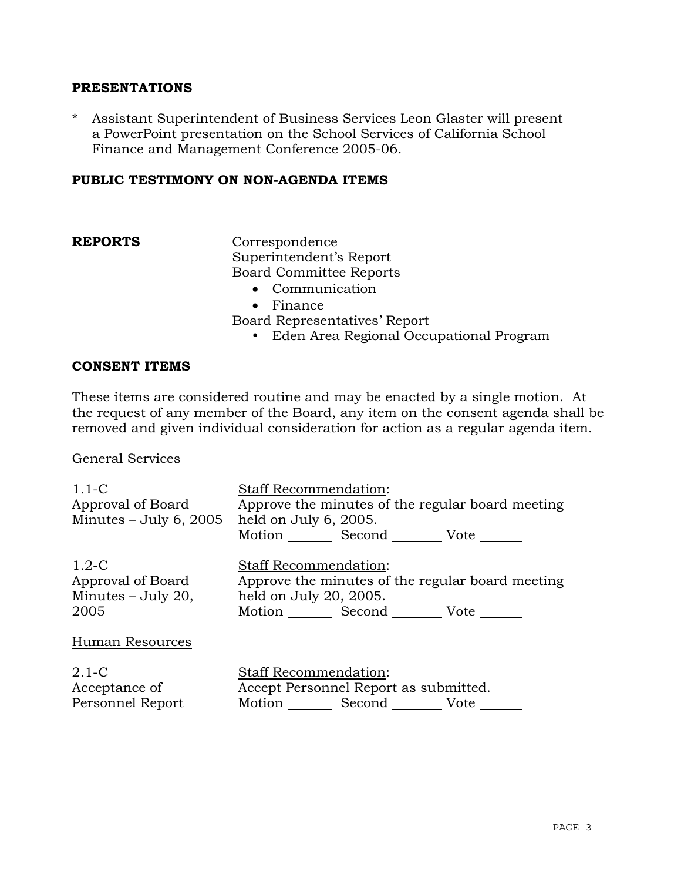## **PRESENTATIONS**

\* Assistant Superintendent of Business Services Leon Glaster will present a PowerPoint presentation on the School Services of California School Finance and Management Conference 2005-06.

## **PUBLIC TESTIMONY ON NON-AGENDA ITEMS**

**REPORTS** Correspondence Superintendent's Report Board Committee Reports

- Communication
- Finance

Board Representatives' Report

• Eden Area Regional Occupational Program

## **CONSENT ITEMS**

These items are considered routine and may be enacted by a single motion. At the request of any member of the Board, any item on the consent agenda shall be removed and given individual consideration for action as a regular agenda item.

### General Services

| $1.1 - C$<br>Approval of Board<br>Minutes $-$ July 6, 2005 | <b>Staff Recommendation:</b><br>Approve the minutes of the regular board meeting<br>held on July 6, 2005.<br>Motion Second Vote |
|------------------------------------------------------------|---------------------------------------------------------------------------------------------------------------------------------|
| $1.2-C$                                                    | <b>Staff Recommendation:</b>                                                                                                    |
| Approval of Board                                          | Approve the minutes of the regular board meeting                                                                                |
| Minutes – July 20,                                         | held on July 20, 2005.                                                                                                          |
| 2005                                                       | Motion _______ Second _________ Vote _______                                                                                    |
| Human Resources                                            |                                                                                                                                 |
| $2.1-C$                                                    | Staff Recommendation:                                                                                                           |
| Acceptance of                                              | Accept Personnel Report as submitted.                                                                                           |
| Personnel Report                                           | Motion Second Vote                                                                                                              |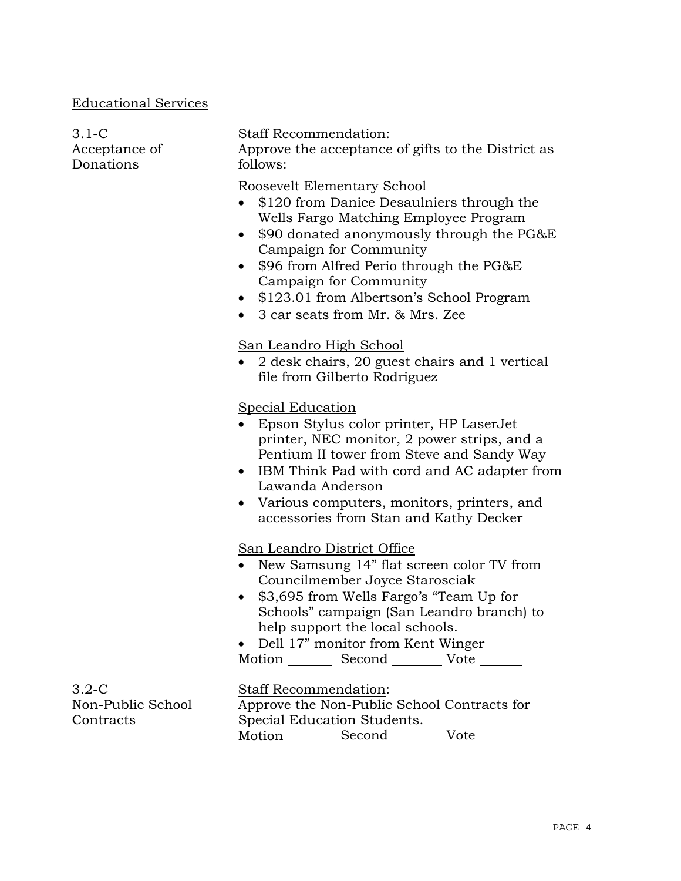# Educational Services

3.1-C

| Acceptance of<br>Donations                  | Approve the acceptance of gifts to the District as<br>follows:                                                                                                                                                                                                                                                                                                                                     |
|---------------------------------------------|----------------------------------------------------------------------------------------------------------------------------------------------------------------------------------------------------------------------------------------------------------------------------------------------------------------------------------------------------------------------------------------------------|
|                                             | Roosevelt Elementary School<br>• \$120 from Danice Desaulniers through the<br>Wells Fargo Matching Employee Program<br>\$90 donated anonymously through the PG&E<br>$\bullet$<br>Campaign for Community<br>\$96 from Alfred Perio through the PG&E<br>$\bullet$<br>Campaign for Community<br>\$123.01 from Albertson's School Program<br>$\bullet$<br>3 car seats from Mr. & Mrs. Zee<br>$\bullet$ |
|                                             | San Leandro High School<br>2 desk chairs, 20 guest chairs and 1 vertical<br>file from Gilberto Rodriguez                                                                                                                                                                                                                                                                                           |
|                                             | Special Education<br>Epson Stylus color printer, HP LaserJet<br>printer, NEC monitor, 2 power strips, and a<br>Pentium II tower from Steve and Sandy Way<br>IBM Think Pad with cord and AC adapter from<br>Lawanda Anderson<br>Various computers, monitors, printers, and<br>$\bullet$<br>accessories from Stan and Kathy Decker                                                                   |
|                                             | San Leandro District Office<br>New Samsung 14" flat screen color TV from<br>Councilmember Joyce Starosciak<br>\$3,695 from Wells Fargo's "Team Up for<br>$\bullet$<br>Schools" campaign (San Leandro branch) to<br>help support the local schools.<br>Dell 17" monitor from Kent Winger<br>Motion<br>Second Vote                                                                                   |
| $3.2 - C$<br>Non-Public School<br>Contracts | <b>Staff Recommendation:</b><br>Approve the Non-Public School Contracts for<br>Special Education Students.                                                                                                                                                                                                                                                                                         |

Staff Recommendation:

Motion \_\_\_\_\_\_\_\_\_ Second \_\_\_\_\_\_\_\_\_ Vote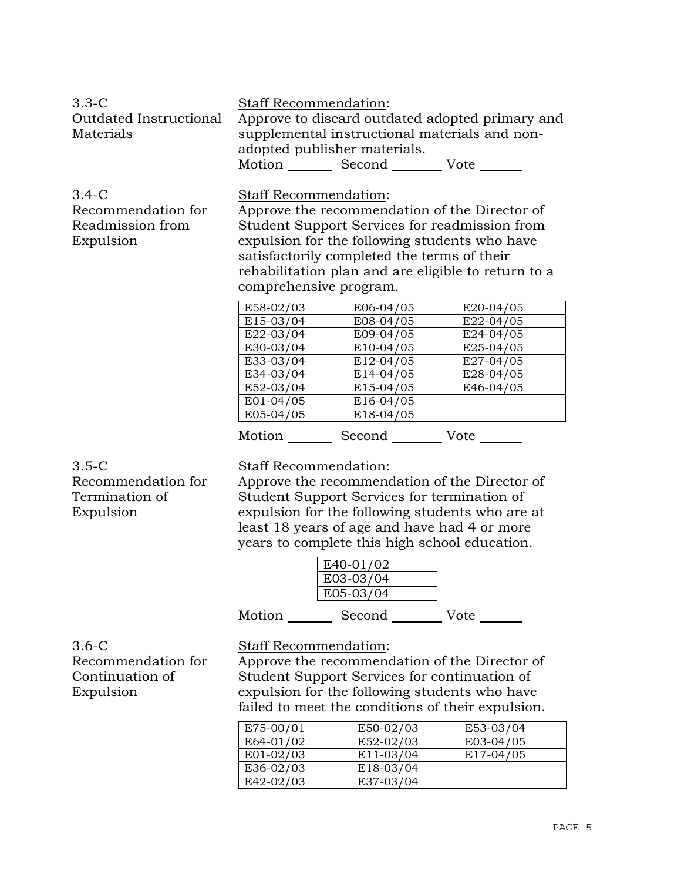| $3.3 - C$<br>Outdated Instructional<br>Materials                 | <b>Staff Recommendation:</b><br>supplemental instructional materials and non-<br>adopted publisher materials.<br>Motion _________ Second __________ Vote _______                                                                                                                                                             |                                       | Approve to discard outdated adopted primary and     |
|------------------------------------------------------------------|------------------------------------------------------------------------------------------------------------------------------------------------------------------------------------------------------------------------------------------------------------------------------------------------------------------------------|---------------------------------------|-----------------------------------------------------|
| $3.4 - C$<br>Recommendation for<br>Readmission from<br>Expulsion | Staff Recommendation:<br>Approve the recommendation of the Director of<br>Student Support Services for readmission from<br>expulsion for the following students who have<br>satisfactorily completed the terms of their<br>comprehensive program.                                                                            |                                       | rehabilitation plan and are eligible to return to a |
|                                                                  | E58-02/03                                                                                                                                                                                                                                                                                                                    | E06-04/05                             | E20-04/05                                           |
|                                                                  | E15-03/04                                                                                                                                                                                                                                                                                                                    | E08-04/05                             | E22-04/05                                           |
|                                                                  | E22-03/04                                                                                                                                                                                                                                                                                                                    | E09-04/05                             | E24-04/05                                           |
|                                                                  | E30-03/04                                                                                                                                                                                                                                                                                                                    | E10-04/05                             | E25-04/05                                           |
|                                                                  | E33-03/04                                                                                                                                                                                                                                                                                                                    | E12-04/05                             | E27-04/05                                           |
|                                                                  | E34-03/04                                                                                                                                                                                                                                                                                                                    | E14-04/05                             | E28-04/05                                           |
|                                                                  | E52-03/04                                                                                                                                                                                                                                                                                                                    | E15-04/05                             | E46-04/05                                           |
|                                                                  | E01-04/05                                                                                                                                                                                                                                                                                                                    | E16-04/05                             |                                                     |
|                                                                  | E05-04/05                                                                                                                                                                                                                                                                                                                    | E18-04/05                             |                                                     |
|                                                                  | Motion _________ Second __________ Vote _______                                                                                                                                                                                                                                                                              |                                       |                                                     |
| $3.5-C$<br>Recommendation for<br>Termination of<br>Expulsion     | Staff Recommendation:<br>Approve the recommendation of the Director of<br>Student Support Services for termination of<br>expulsion for the following students who are at<br>least 18 years of age and have had 4 or more<br>years to complete this high school education.<br>Motion _________ Second __________ Vote _______ | $E40-01/02$<br>E03-03/04<br>E05-03/04 |                                                     |
|                                                                  |                                                                                                                                                                                                                                                                                                                              |                                       |                                                     |
| $3.6-C$                                                          | Staff Recommendation:                                                                                                                                                                                                                                                                                                        |                                       |                                                     |
| Recommendation for                                               | Approve the recommendation of the Director of                                                                                                                                                                                                                                                                                |                                       |                                                     |

Continuation of Expulsion

Student Support Services for continuation of expulsion for the following students who have failed to meet the conditions of their expulsion.

| E75-00/01   | E50-02/03 | E53-03/04 |
|-------------|-----------|-----------|
| E64-01/02   | E52-02/03 | E03-04/05 |
| $E01-02/03$ | E11-03/04 | E17-04/05 |
| E36-02/03   | E18-03/04 |           |
| E42-02/03   | E37-03/04 |           |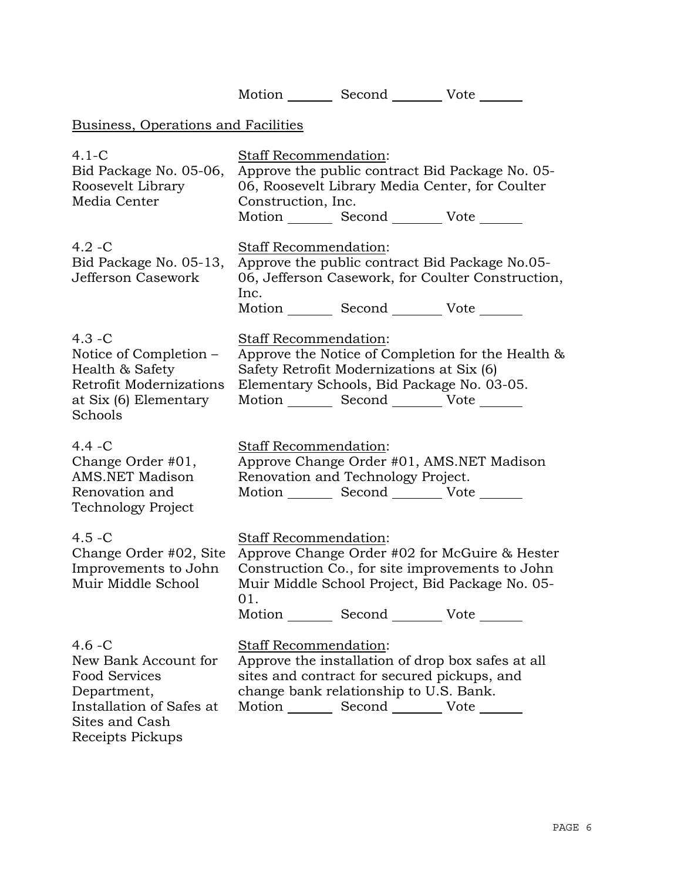|                                                                                                                                            | Motion Second Vote                                                                                                                                                                                                                     |  |  |  |
|--------------------------------------------------------------------------------------------------------------------------------------------|----------------------------------------------------------------------------------------------------------------------------------------------------------------------------------------------------------------------------------------|--|--|--|
| Business, Operations and Facilities                                                                                                        |                                                                                                                                                                                                                                        |  |  |  |
| $4.1-C$<br>Bid Package No. 05-06,<br>Roosevelt Library<br>Media Center                                                                     | Staff Recommendation:<br>Approve the public contract Bid Package No. 05-<br>06, Roosevelt Library Media Center, for Coulter<br>Construction, Inc.<br>Motion _________ Second __________ Vote _______                                   |  |  |  |
| $4.2 - C$<br>Bid Package No. 05-13,<br>Jefferson Casework                                                                                  | Staff Recommendation:<br>Approve the public contract Bid Package No.05-<br>06, Jefferson Casework, for Coulter Construction,<br>Inc.<br>Motion _________ Second __________ Vote _______                                                |  |  |  |
| $4.3 - C$<br>Notice of Completion –<br>Health & Safety<br>Retrofit Modernizations<br>at Six (6) Elementary<br>Schools                      | Staff Recommendation:<br>Approve the Notice of Completion for the Health &<br>Safety Retrofit Modernizations at Six (6)<br>Elementary Schools, Bid Package No. 03-05.<br>Motion _________ Second __________ Vote _______               |  |  |  |
| $4.4 - C$<br>Change Order #01,<br><b>AMS.NET Madison</b><br>Renovation and<br><b>Technology Project</b>                                    | Staff Recommendation:<br>Approve Change Order #01, AMS.NET Madison<br>Renovation and Technology Project.<br>Motion _________ Second ___________ Vote _______                                                                           |  |  |  |
| $4.5 - C$<br>Change Order #02, Site<br>Improvements to John<br>Muir Middle School                                                          | Staff Recommendation:<br>Approve Change Order #02 for McGuire & Hester<br>Construction Co., for site improvements to John<br>Muir Middle School Project, Bid Package No. 05-<br>01.<br>Motion _________ Second __________ Vote _______ |  |  |  |
| $4.6 - C$<br>New Bank Account for<br><b>Food Services</b><br>Department,<br>Installation of Safes at<br>Sites and Cash<br>Receipts Pickups | Staff Recommendation:<br>Approve the installation of drop box safes at all<br>sites and contract for secured pickups, and<br>change bank relationship to U.S. Bank.<br>Motion Second Vote ______                                       |  |  |  |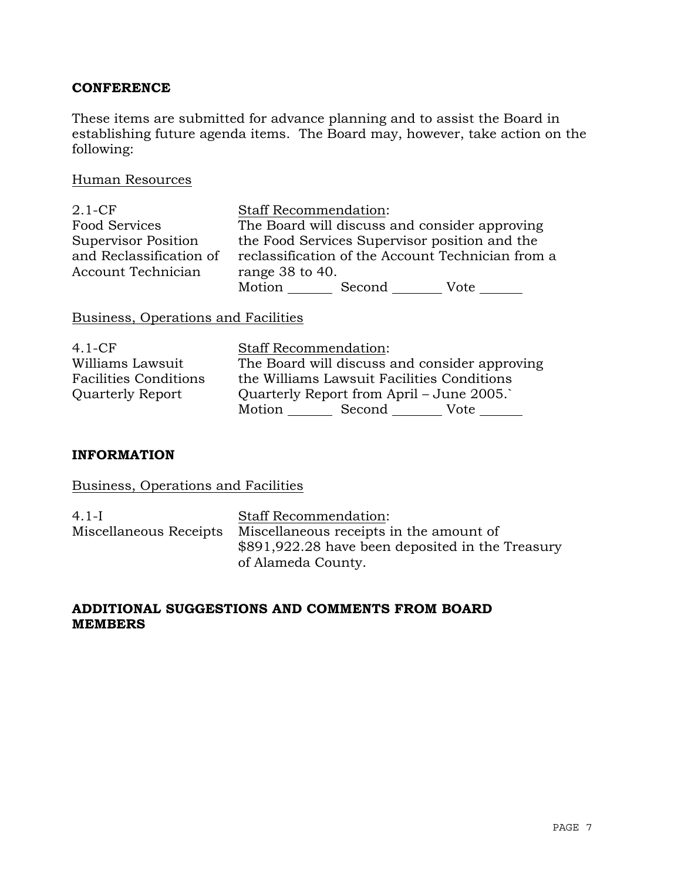# **CONFERENCE**

These items are submitted for advance planning and to assist the Board in establishing future agenda items. The Board may, however, take action on the following:

## Human Resources

| $2.1 - CF$                 | <b>Staff Recommendation:</b> |        |                                                   |
|----------------------------|------------------------------|--------|---------------------------------------------------|
| <b>Food Services</b>       |                              |        | The Board will discuss and consider approving     |
| <b>Supervisor Position</b> |                              |        | the Food Services Supervisor position and the     |
| and Reclassification of    |                              |        | reclassification of the Account Technician from a |
| Account Technician         | range $38$ to $40$ .         |        |                                                   |
|                            | Motion                       | Second | Vote                                              |

# Business, Operations and Facilities

| $4.1-CF$                     | <b>Staff Recommendation:</b>                  |
|------------------------------|-----------------------------------------------|
| Williams Lawsuit             | The Board will discuss and consider approving |
| <b>Facilities Conditions</b> | the Williams Lawsuit Facilities Conditions    |
| <b>Quarterly Report</b>      | Quarterly Report from April – June 2005.      |
|                              | Motion<br>Second<br>Vote                      |

## **INFORMATION**

# Business, Operations and Facilities

| 4.1-L | <b>Staff Recommendation:</b>                                   |
|-------|----------------------------------------------------------------|
|       | Miscellaneous Receipts Miscellaneous receipts in the amount of |
|       | \$891,922.28 have been deposited in the Treasury               |
|       | of Alameda County.                                             |

# **ADDITIONAL SUGGESTIONS AND COMMENTS FROM BOARD MEMBERS**